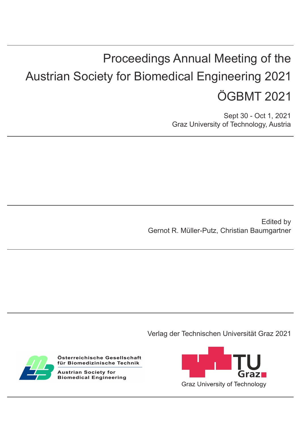# Proceedings Annual Meeting of the Austrian Society for Biomedical Engineering 2021 ÖGBMT 2021

Sept 30 - Oct 1, 2021 Graz University of Technology, Austria

 Gernot R. Müller-Putz, Christian Baumgartner Edited by

Verlag der Technischen Universität Graz 2021



Österreichische Gesellschaft für Biomedizinische Technik

**Austrian Society for Biomedical Engineering**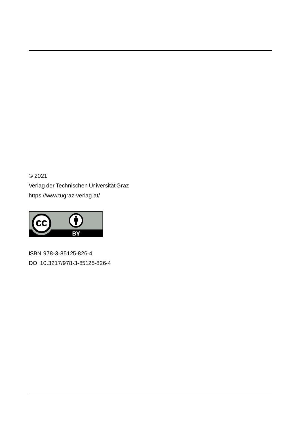© 2021 Verlag der Technischen Universität Graz https://www.tugraz-verlag.at/



ISBN 978-3-85125-826-4 DOI 10.3217/978-3-85125-826-4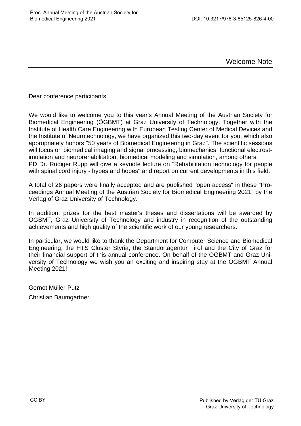Welcome Note

Dear conference participants!

We would like to welcome you to this year's Annual Meeting of the Austrian Society for Biomedical Engineering (ÖGBMT) at Graz University of Technology. Together with the Institute of Health Care Engineering with European Testing Center of Medical Devices and the Institute of Neurotechnology, we have organized this two-day event for you, which also appropriately honors "50 years of Biomedical Engineering in Graz". The scientific sessions will focus on biomedical imaging and signal processing, biomechanics, functional electrostimulation and neurorehabilitation, biomedical modeling and simulation, among others. PD Dr. Rüdiger Rupp will give a keynote lecture on "Rehabilitation technology for people with spinal cord injury - hypes and hopes" and report on current developments in this field.

A total of 26 papers were finally accepted and are published "open access" in these "Proceedings Annual Meeting of the Austrian Society for Biomedical Engineering 2021" by the Verlag of Graz University of Technology.

In addition, prizes for the best master's theses and dissertations will be awarded by ÖGBMT, Graz University of Technology and industry in recognition of the outstanding achievements and high quality of the scientific work of our young researchers.

In particular, we would like to thank the Department for Computer Science and Biomedical Engineering, the HTS Cluster Styria, the Standortagentur Tirol and the City of Graz for their financial support of this annual conference. On behalf of the ÖGBMT and Graz University of Technology we wish you an exciting and inspiring stay at the ÖGBMT Annual Meeting 2021!

Gernot Müller-Putz Christian Baumgartner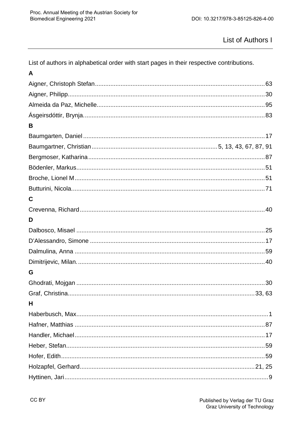#### List of Authors I

List of authors in alphabetical order with start pages in their respective contributions.

| A |  |
|---|--|
|   |  |
|   |  |
|   |  |
|   |  |
| B |  |
|   |  |
|   |  |
|   |  |
|   |  |
|   |  |
|   |  |
| C |  |
|   |  |
| D |  |
|   |  |
|   |  |
|   |  |
|   |  |
| G |  |
|   |  |
|   |  |
| н |  |
|   |  |
|   |  |
|   |  |
|   |  |
|   |  |
|   |  |
|   |  |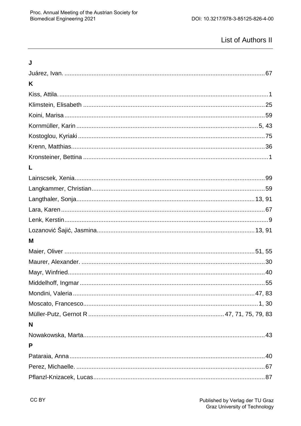## **List of Authors II**

| J |  |
|---|--|
|   |  |
| K |  |
|   |  |
|   |  |
|   |  |
|   |  |
|   |  |
|   |  |
|   |  |
| L |  |
|   |  |
|   |  |
|   |  |
|   |  |
|   |  |
|   |  |
| M |  |
|   |  |
|   |  |
|   |  |
|   |  |
|   |  |
|   |  |
|   |  |
| N |  |
|   |  |
| P |  |
|   |  |
|   |  |
|   |  |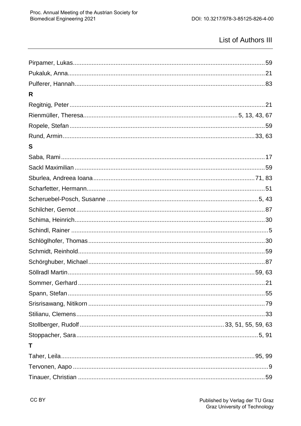## List of Authors III

| R |  |
|---|--|
|   |  |
|   |  |
|   |  |
|   |  |
| S |  |
|   |  |
|   |  |
|   |  |
|   |  |
|   |  |
|   |  |
|   |  |
|   |  |
|   |  |
|   |  |
|   |  |
|   |  |
|   |  |
|   |  |
|   |  |
|   |  |
|   |  |
|   |  |
| T |  |
|   |  |
|   |  |
|   |  |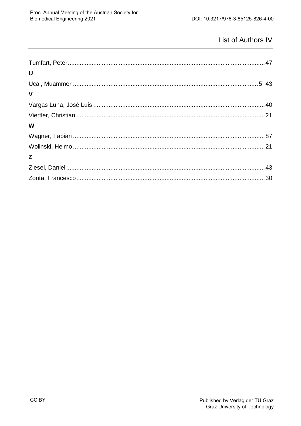## List of Authors IV

| U            |  |
|--------------|--|
|              |  |
| $\mathbf{V}$ |  |
|              |  |
|              |  |
| W            |  |
|              |  |
|              |  |
| Z            |  |
|              |  |
|              |  |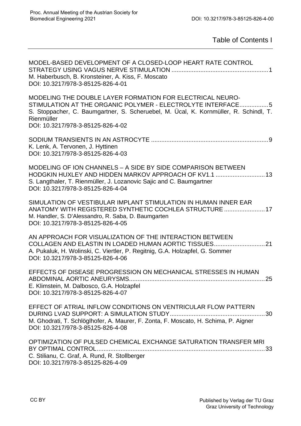Table of Contents I

| MODEL-BASED DEVELOPMENT OF A CLOSED-LOOP HEART RATE CONTROL<br>M. Haberbusch, B. Kronsteiner, A. Kiss, F. Moscato<br>DOI: 10.3217/978-3-85125-826-4-01                                                                                                              |
|---------------------------------------------------------------------------------------------------------------------------------------------------------------------------------------------------------------------------------------------------------------------|
| MODELING THE DOUBLE LAYER FORMATION FOR ELECTRICAL NEURO-<br>STIMULATION AT THE ORGANIC POLYMER - ELECTROLYTE INTERFACE5<br>S. Stoppacher, C. Baumgartner, S. Scheruebel, M. Ücal, K. Kornmüller, R. Schindl, T.<br>Rienmüller<br>DOI: 10.3217/978-3-85125-826-4-02 |
| K. Lenk, A. Tervonen, J. Hyttinen<br>DOI: 10.3217/978-3-85125-826-4-03                                                                                                                                                                                              |
| MODELING OF ION CHANNELS - A SIDE BY SIDE COMPARISON BETWEEN<br>HODGKIN HUXLEY AND HIDDEN MARKOV APPROACH OF KV1.1  13<br>S. Langthaler, T. Rienmüller, J. Lozanovic Sajic and C. Baumgartner<br>DOI: 10.3217/978-3-85125-826-4-04                                  |
| SIMULATION OF VESTIBULAR IMPLANT STIMULATION IN HUMAN INNER EAR<br>ANATOMY WITH REGISTERED SYNTHETIC COCHLEA STRUCTURE  17<br>M. Handler, S. D'Alessandro, R. Saba, D. Baumgarten<br>DOI: 10.3217/978-3-85125-826-4-05                                              |
| AN APPROACH FOR VISUALIZATION OF THE INTERACTION BETWEEN<br>COLLAGEN AND ELASTIN IN LOADED HUMAN AORTIC TISSUES21<br>A. Pukaluk, H. Wolinski, C. Viertler, P. Regitnig, G.A. Holzapfel, G. Sommer<br>DOI: 10.3217/978-3-85125-826-4-06                              |
| EFFECTS OF DISEASE PROGRESSION ON MECHANICAL STRESSES IN HUMAN<br>E. Klimstein, M. Dalbosco, G.A. Holzapfel<br>DOI: 10.3217/978-3-85125-826-4-07                                                                                                                    |
| EFFECT OF ATRIAL INFLOW CONDITIONS ON VENTRICULAR FLOW PATTERN<br>M. Ghodrati, T. Schlöglhofer, A. Maurer, F. Zonta, F. Moscato, H. Schima, P. Aigner<br>DOI: 10.3217/978-3-85125-826-4-08                                                                          |
| OPTIMIZATION OF PULSED CHEMICAL EXCHANGE SATURATION TRANSFER MRI<br>C. Stilianu, C. Graf, A. Rund, R. Stollberger<br>DOI: 10.3217/978-3-85125-826-4-09                                                                                                              |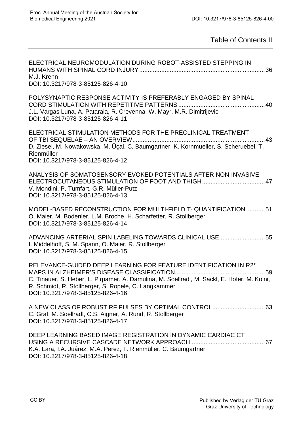Table of Contents II

| ELECTRICAL NEUROMODULATION DURING ROBOT-ASSISTED STEPPING IN<br>M.J. Krenn<br>DOI: 10.3217/978-3-85125-826-4-10                                                                                                                                                    |
|--------------------------------------------------------------------------------------------------------------------------------------------------------------------------------------------------------------------------------------------------------------------|
| POLYSYNAPTIC RESPONSE ACTIVITY IS PREFERABLY ENGAGED BY SPINAL<br>J.L. Vargas Luna, A. Pataraia, R. Crevenna, W. Mayr, M.R. Dimitrijevic<br>DOI: 10.3217/978-3-85125-826-4-11                                                                                      |
| ELECTRICAL STIMULATION METHODS FOR THE PRECLINICAL TREATMENT<br>D. Ziesel, M. Nowakowska, M. Üçal, C. Baumgartner, K. Kornmueller, S. Scheruebel, T.<br>Rienmüller<br>DOI: 10.3217/978-3-85125-826-4-12                                                            |
| ANALYSIS OF SOMATOSENSORY EVOKED POTENTIALS AFTER NON-INVASIVE<br>V. Mondini, P. Tumfart, G.R. Müller-Putz<br>DOI: 10.3217/978-3-85125-826-4-13                                                                                                                    |
| MODEL-BASED RECONSTRUCTION FOR MULTI-FIELD $T_1$ QUANTIFICATION 51<br>O. Maier, M. Bodenler, L.M. Broche, H. Scharfetter, R. Stollberger<br>DOI: 10.3217/978-3-85125-826-4-14                                                                                      |
| ADVANCING ARTERIAL SPIN LABELING TOWARDS CLINICAL USE55<br>I. Middelhoff, S. M. Spann, O. Maier, R. Stollberger<br>DOI: 10.3217/978-3-85125-826-4-15                                                                                                               |
| RELEVANCE-GUIDED DEEP LEARNING FOR FEATURE IDENTIFICATION IN R2*<br>59<br>C. Tinauer, S. Heber, L. Pirpamer, A. Damulina, M. Soellradl, M. Sackl, E. Hofer, M. Koini,<br>R. Schmidt, R. Stollberger, S. Ropele, C. Langkammer<br>DOI: 10.3217/978-3-85125-826-4-16 |
| C. Graf, M. Soellradl, C.S. Aigner, A. Rund, R. Stollberger<br>DOI: 10.3217/978-3-85125-826-4-17                                                                                                                                                                   |
| DEEP LEARNING BASED IMAGE REGISTRATION IN DYNAMIC CARDIAC CT<br>K.A. Lara, I.A. Juárez, M.A. Perez, T. Rienmüller, C. Baumgartner<br>DOI: 10.3217/978-3-85125-826-4-18                                                                                             |